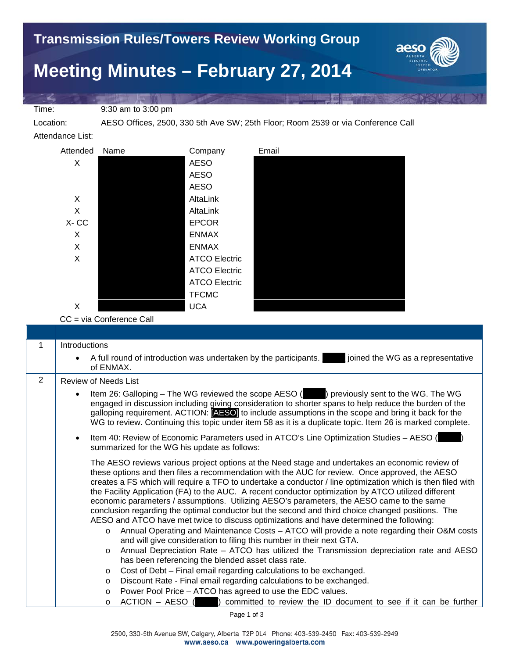

Location: AESO Offices, 2500, 330 5th Ave SW; 25th Floor; Room 2539 or via Conference Call

Attendance List:



CC = via Conference Call

| 1 | Introductions                                                                                                                                                                                                                                                                                                                                                                                                                                                                                                                                                                                                                                                                                                                                                                                                                                                                                                                                                                                                                                                                                                                                                                                                                            |
|---|------------------------------------------------------------------------------------------------------------------------------------------------------------------------------------------------------------------------------------------------------------------------------------------------------------------------------------------------------------------------------------------------------------------------------------------------------------------------------------------------------------------------------------------------------------------------------------------------------------------------------------------------------------------------------------------------------------------------------------------------------------------------------------------------------------------------------------------------------------------------------------------------------------------------------------------------------------------------------------------------------------------------------------------------------------------------------------------------------------------------------------------------------------------------------------------------------------------------------------------|
|   | A full round of introduction was undertaken by the participants.<br>joined the WG as a representative<br>$\bullet$<br>of ENMAX.                                                                                                                                                                                                                                                                                                                                                                                                                                                                                                                                                                                                                                                                                                                                                                                                                                                                                                                                                                                                                                                                                                          |
| 2 | Review of Needs List                                                                                                                                                                                                                                                                                                                                                                                                                                                                                                                                                                                                                                                                                                                                                                                                                                                                                                                                                                                                                                                                                                                                                                                                                     |
|   | Item 26: Galloping – The WG reviewed the scope AESO () previously sent to the WG. The WG<br>$\bullet$<br>engaged in discussion including giving consideration to shorter spans to help reduce the burden of the<br>galloping requirement. ACTION: [AESO] to include assumptions in the scope and bring it back for the<br>WG to review. Continuing this topic under item 58 as it is a duplicate topic. Item 26 is marked complete.                                                                                                                                                                                                                                                                                                                                                                                                                                                                                                                                                                                                                                                                                                                                                                                                      |
|   | Item 40: Review of Economic Parameters used in ATCO's Line Optimization Studies - AESO (<br>$\bullet$<br>summarized for the WG his update as follows:                                                                                                                                                                                                                                                                                                                                                                                                                                                                                                                                                                                                                                                                                                                                                                                                                                                                                                                                                                                                                                                                                    |
|   | The AESO reviews various project options at the Need stage and undertakes an economic review of<br>these options and then files a recommendation with the AUC for review. Once approved, the AESO<br>creates a FS which will require a TFO to undertake a conductor / line optimization which is then filed with<br>the Facility Application (FA) to the AUC. A recent conductor optimization by ATCO utilized different<br>economic parameters / assumptions. Utilizing AESO's parameters, the AESO came to the same<br>conclusion regarding the optimal conductor but the second and third choice changed positions. The<br>AESO and ATCO have met twice to discuss optimizations and have determined the following:<br>Annual Operating and Maintenance Costs - ATCO will provide a note regarding their O&M costs<br>$\circ$<br>and will give consideration to filing this number in their next GTA.<br>Annual Depreciation Rate - ATCO has utilized the Transmission depreciation rate and AESO<br>$\circ$<br>has been referencing the blended asset class rate.<br>Cost of Debt - Final email regarding calculations to be exchanged.<br>$\circ$<br>Discount Rate - Final email regarding calculations to be exchanged.<br>$\circ$ |
|   | Power Pool Price - ATCO has agreed to use the EDC values.<br>$\circ$                                                                                                                                                                                                                                                                                                                                                                                                                                                                                                                                                                                                                                                                                                                                                                                                                                                                                                                                                                                                                                                                                                                                                                     |
|   | $ACTION - AESO$ ( ) committed to review the ID document to see if it can be further<br>$\circ$                                                                                                                                                                                                                                                                                                                                                                                                                                                                                                                                                                                                                                                                                                                                                                                                                                                                                                                                                                                                                                                                                                                                           |

Page 1 of 3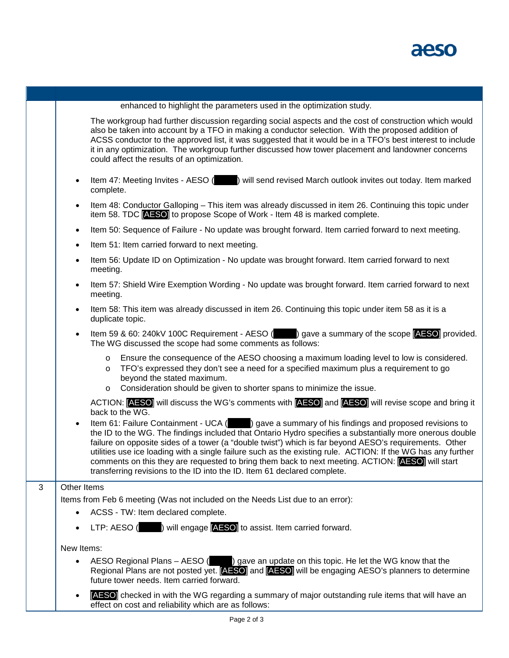

|   | enhanced to highlight the parameters used in the optimization study.                                                                                                                                                                                                                                                                                                                                                                                                                                                                                                                                                  |
|---|-----------------------------------------------------------------------------------------------------------------------------------------------------------------------------------------------------------------------------------------------------------------------------------------------------------------------------------------------------------------------------------------------------------------------------------------------------------------------------------------------------------------------------------------------------------------------------------------------------------------------|
|   | The workgroup had further discussion regarding social aspects and the cost of construction which would<br>also be taken into account by a TFO in making a conductor selection. With the proposed addition of<br>ACSS conductor to the approved list, it was suggested that it would be in a TFO's best interest to include<br>it in any optimization. The workgroup further discussed how tower placement and landowner concerns<br>could affect the results of an optimization.                                                                                                                                      |
|   | Item 47: Meeting Invites - AESO () will send revised March outlook invites out today. Item marked<br>$\bullet$<br>complete.                                                                                                                                                                                                                                                                                                                                                                                                                                                                                           |
|   | Item 48: Conductor Galloping - This item was already discussed in item 26. Continuing this topic under<br>$\bullet$<br>item 58. TDC <b>AESO</b> to propose Scope of Work - Item 48 is marked complete.                                                                                                                                                                                                                                                                                                                                                                                                                |
|   | Item 50: Sequence of Failure - No update was brought forward. Item carried forward to next meeting.<br>$\bullet$                                                                                                                                                                                                                                                                                                                                                                                                                                                                                                      |
|   | Item 51: Item carried forward to next meeting.<br>$\bullet$                                                                                                                                                                                                                                                                                                                                                                                                                                                                                                                                                           |
|   | Item 56: Update ID on Optimization - No update was brought forward. Item carried forward to next<br>$\bullet$<br>meeting.                                                                                                                                                                                                                                                                                                                                                                                                                                                                                             |
|   | Item 57: Shield Wire Exemption Wording - No update was brought forward. Item carried forward to next<br>$\bullet$<br>meeting.                                                                                                                                                                                                                                                                                                                                                                                                                                                                                         |
|   | Item 58: This item was already discussed in item 26. Continuing this topic under item 58 as it is a<br>duplicate topic.                                                                                                                                                                                                                                                                                                                                                                                                                                                                                               |
|   | Item 59 & 60: 240kV 100C Requirement - AESO (State 3) gave a summary of the scope [AESO] provided.<br>The WG discussed the scope had some comments as follows:                                                                                                                                                                                                                                                                                                                                                                                                                                                        |
|   | Ensure the consequence of the AESO choosing a maximum loading level to low is considered.<br>$\circ$<br>TFO's expressed they don't see a need for a specified maximum plus a requirement to go<br>$\circ$<br>beyond the stated maximum.                                                                                                                                                                                                                                                                                                                                                                               |
|   | Consideration should be given to shorter spans to minimize the issue.<br>$\circ$                                                                                                                                                                                                                                                                                                                                                                                                                                                                                                                                      |
|   | ACTION: [AESO] will discuss the WG's comments with [AESO] and [AESO] will revise scope and bring it<br>back to the WG.                                                                                                                                                                                                                                                                                                                                                                                                                                                                                                |
|   | Item 61: Failure Containment - UCA () gave a summary of his findings and proposed revisions to<br>the ID to the WG. The findings included that Ontario Hydro specifies a substantially more onerous double<br>failure on opposite sides of a tower (a "double twist") which is far beyond AESO's requirements. Other<br>utilities use ice loading with a single failure such as the existing rule. ACTION: If the WG has any further<br>comments on this they are requested to bring them back to next meeting. ACTION: [AESO] will start<br>transferring revisions to the ID into the ID. Item 61 declared complete. |
| 3 | Other Items                                                                                                                                                                                                                                                                                                                                                                                                                                                                                                                                                                                                           |
|   | Items from Feb 6 meeting (Was not included on the Needs List due to an error):                                                                                                                                                                                                                                                                                                                                                                                                                                                                                                                                        |
|   | ACSS - TW: Item declared complete.<br>$\bullet$                                                                                                                                                                                                                                                                                                                                                                                                                                                                                                                                                                       |
|   | LTP: AESO () will engage <b>AESO</b> to assist. Item carried forward.                                                                                                                                                                                                                                                                                                                                                                                                                                                                                                                                                 |
|   | New Items:                                                                                                                                                                                                                                                                                                                                                                                                                                                                                                                                                                                                            |
|   | AESO Regional Plans $-$ AESO ( $\qquad$ ) gave an update on this topic. He let the WG know that the<br>Regional Plans are not posted yet. [AESO] and [AESO] will be engaging AESO's planners to determine<br>future tower needs. Item carried forward.                                                                                                                                                                                                                                                                                                                                                                |
|   | <b>AESO</b> checked in with the WG regarding a summary of major outstanding rule items that will have an<br>$\bullet$<br>effect on cost and reliability which are as follows:                                                                                                                                                                                                                                                                                                                                                                                                                                         |